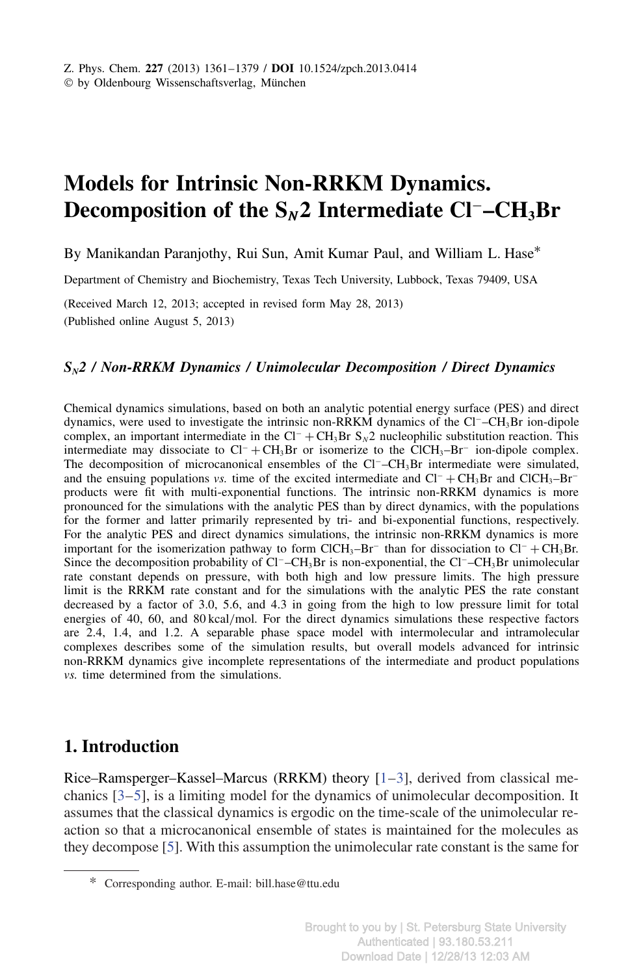# **Models for Intrinsic Non-RRKM Dynamics. Decomposition of the S***<sup>N</sup>* **2 Intermediate Cl**<sup>−</sup>**–CH3Br**

By Manikandan Paranjothy, Rui Sun, Amit Kumar Paul, and William L. Hase<sup>\*</sup>

Department of Chemistry and Biochemistry, Texas Tech University, Lubbock, Texas 79409, USA

(Received March 12, 2013; accepted in revised form May 28, 2013) (Published online August 5, 2013)

#### *SN2 / Non-RRKM Dynamics / Unimolecular Decomposition / Direct Dynamics*

Chemical dynamics simulations, based on both an analytic potential energy surface (PES) and direct dynamics, were used to investigate the intrinsic non-RRKM dynamics of the Cl<sup>−</sup>–CH<sub>3</sub>Br ion-dipole complex, an important intermediate in the Cl<sup>−</sup> + CH3Br S*N*2 nucleophilic substitution reaction. This intermediate may dissociate to  $Cl^- + CH_3Br$  or isomerize to the ClCH<sub>3</sub>–Br<sup>−</sup> ion-dipole complex. The decomposition of microcanonical ensembles of the Cl<sup>-</sup>–CH<sub>3</sub>Br intermediate were simulated, and the ensuing populations *vs.* time of the excited intermediate and  $Cl^- + CH_3Br$  and  $ClCH_3–Br^$ products were fit with multi-exponential functions. The intrinsic non-RRKM dynamics is more pronounced for the simulations with the analytic PES than by direct dynamics, with the populations for the former and latter primarily represented by tri- and bi-exponential functions, respectively. For the analytic PES and direct dynamics simulations, the intrinsic non-RRKM dynamics is more important for the isomerization pathway to form ClCH<sub>3</sub>–Br<sup>−</sup> than for dissociation to Cl<sup>−</sup> + CH<sub>3</sub>Br. Since the decomposition probability of Cl<sup>−</sup>–CH<sub>3</sub>Br is non-exponential, the Cl<sup>−</sup>–CH<sub>3</sub>Br unimolecular rate constant depends on pressure, with both high and low pressure limits. The high pressure limit is the RRKM rate constant and for the simulations with the analytic PES the rate constant decreased by a factor of 3.0, 5.6, and 4.3 in going from the high to low pressure limit for total energies of 40, 60, and 80 kcal/mol. For the direct dynamics simulations these respective factors are 2.4, 1.4, and 1.2. A separable phase space model with intermolecular and intramolecular complexes describes some of the simulation results, but overall models advanced for intrinsic non-RRKM dynamics give incomplete representations of the intermediate and product populations *vs.* time determined from the simulations.

# **1. Introduction**

Rice–Ramsperger–Kassel–Marcus (RRKM) theory  $[1-3]$ , derived from classical mechanics [3–5], is a limiting model for the dynamics of unimolecular decomposition. It assumes that the classical dynamics is ergodic on the time-scale of the unimolecular reaction so that a microcanonical ensemble of states is maintained for the molecules as they decompose [5]. With this assumption the unimolecular rate constant is the same for

<sup>\*</sup> Corresponding author. E-mail: bill.hase@ttu.edu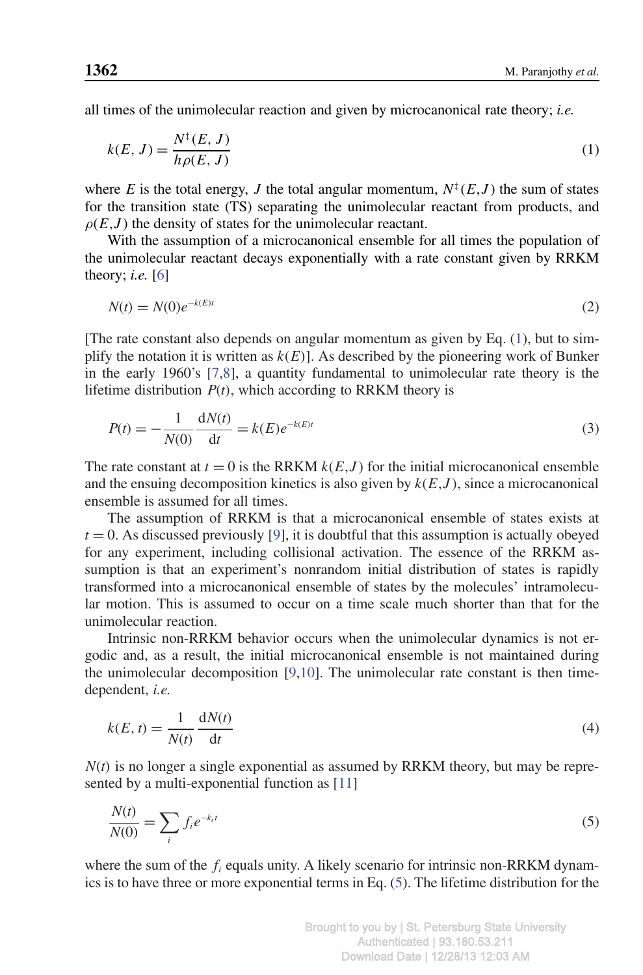all times of the unimolecular reaction and given by microcanonical rate theory; *i.e.*

$$
k(E, J) = \frac{N^{\dagger}(E, J)}{h\rho(E, J)}
$$
\n<sup>(1)</sup>

where *E* is the total energy, *J* the total angular momentum,  $N^{\ddagger}(E, J)$  the sum of states for the transition state (TS) separating the unimolecular reactant from products, and  $\rho(E, J)$  the density of states for the unimolecular reactant.

With the assumption of a microcanonical ensemble for all times the population of the unimolecular reactant decays exponentially with a rate constant given by RRKM theory; *i.e.* [6]

$$
N(t) = N(0)e^{-k(E)t}
$$
\n<sup>(2)</sup>

[The rate constant also depends on angular momentum as given by Eq. (1), but to simplify the notation it is written as  $k(E)$ . As described by the pioneering work of Bunker in the early 1960's [7,8], a quantity fundamental to unimolecular rate theory is the lifetime distribution  $P(t)$ , which according to RRKM theory is

$$
P(t) = -\frac{1}{N(0)} \frac{dN(t)}{dt} = k(E)e^{-k(E)t}
$$
\n(3)

The rate constant at  $t = 0$  is the RRKM  $k(E, J)$  for the initial microcanonical ensemble and the ensuing decomposition kinetics is also given by *k*(*E*,*J* ), since a microcanonical ensemble is assumed for all times.

The assumption of RRKM is that a microcanonical ensemble of states exists at  $t = 0$ . As discussed previously [9], it is doubtful that this assumption is actually obeyed for any experiment, including collisional activation. The essence of the RRKM assumption is that an experiment's nonrandom initial distribution of states is rapidly transformed into a microcanonical ensemble of states by the molecules' intramolecular motion. This is assumed to occur on a time scale much shorter than that for the unimolecular reaction.

Intrinsic non-RRKM behavior occurs when the unimolecular dynamics is not ergodic and, as a result, the initial microcanonical ensemble is not maintained during the unimolecular decomposition  $[9,10]$ . The unimolecular rate constant is then timedependent, *i.e.*

$$
k(E, t) = \frac{1}{N(t)} \frac{dN(t)}{dt}
$$
\n(4)

 *is no longer a single exponential as assumed by RRKM theory, but may be repre*sented by a multi-exponential function as [11]

$$
\frac{N(t)}{N(0)} = \sum_{i} f_i e^{-k_i t} \tag{5}
$$

where the sum of the  $f_i$  equals unity. A likely scenario for intrinsic non-RRKM dynamics is to have three or more exponential terms in Eq. (5). The lifetime distribution for the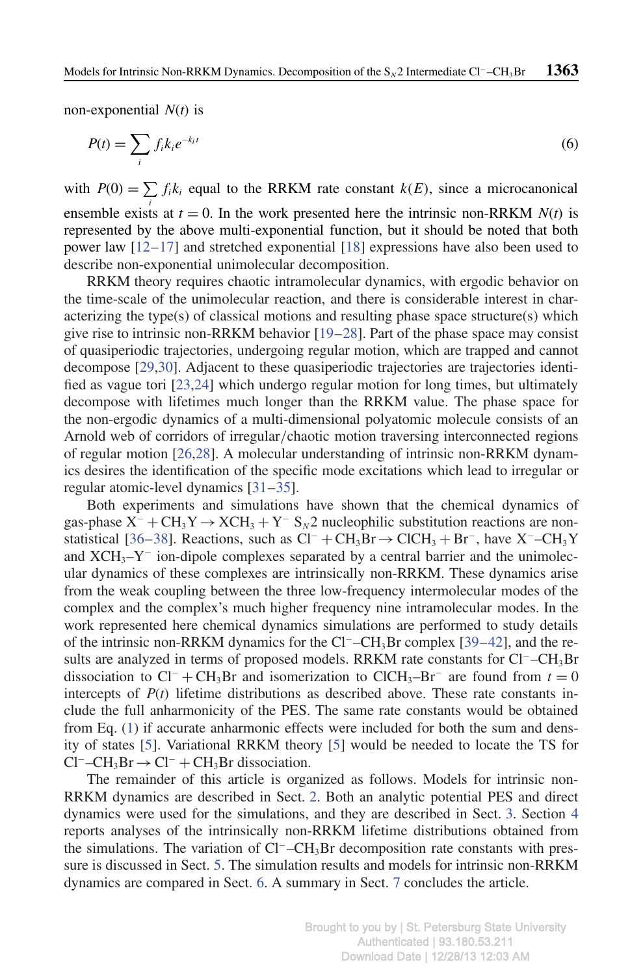non-exponential *N*(*t*) is

$$
P(t) = \sum_{i} f_i k_i e^{-k_i t} \tag{6}
$$

with  $P(0) = \sum f_i k_i$  equal to the RRKM rate constant  $k(E)$ , since a microcanonical ensemble exists at  $t = 0$ . In the work presented here the intrinsic non-RRKM  $N(t)$  is represented by the above multi-exponential function, but it should be noted that both power law [12–17] and stretched exponential [18] expressions have also been used to describe non-exponential unimolecular decomposition.

RRKM theory requires chaotic intramolecular dynamics, with ergodic behavior on the time-scale of the unimolecular reaction, and there is considerable interest in characterizing the type(s) of classical motions and resulting phase space structure(s) which give rise to intrinsic non-RRKM behavior [19–28]. Part of the phase space may consist of quasiperiodic trajectories, undergoing regular motion, which are trapped and cannot decompose [29,30]. Adjacent to these quasiperiodic trajectories are trajectories identified as vague tori [23,24] which undergo regular motion for long times, but ultimately decompose with lifetimes much longer than the RRKM value. The phase space for the non-ergodic dynamics of a multi-dimensional polyatomic molecule consists of an Arnold web of corridors of irregular/chaotic motion traversing interconnected regions of regular motion [26,28]. A molecular understanding of intrinsic non-RRKM dynamics desires the identification of the specific mode excitations which lead to irregular or regular atomic-level dynamics [31–35].

Both experiments and simulations have shown that the chemical dynamics of gas-phase  $X^-$  + CH<sub>3</sub>Y  $\rightarrow$  XCH<sub>3</sub> + Y<sup>-</sup> S<sub>N</sub>2 nucleophilic substitution reactions are nonstatistical [36–38]. Reactions, such as  $Cl^- + CH_3Br \rightarrow ClCH_3 + Br^-$ , have X<sup>-</sup>-CH<sub>3</sub>Y and XCH<sub>3</sub>-Y<sup>-</sup> ion-dipole complexes separated by a central barrier and the unimolecular dynamics of these complexes are intrinsically non-RRKM. These dynamics arise from the weak coupling between the three low-frequency intermolecular modes of the complex and the complex's much higher frequency nine intramolecular modes. In the work represented here chemical dynamics simulations are performed to study details of the intrinsic non-RRKM dynamics for the Cl<sup>−</sup>–CH3Br complex [39–42], and the results are analyzed in terms of proposed models. RRKM rate constants for Cl<sup>−</sup>–CH<sub>3</sub>Br dissociation to  $Cl^- + CH_3Br$  and isomerization to  $ClCH_3-Hr^-$  are found from  $t = 0$ intercepts of  $P(t)$  lifetime distributions as described above. These rate constants include the full anharmonicity of the PES. The same rate constants would be obtained from Eq. (1) if accurate anharmonic effects were included for both the sum and density of states [5]. Variational RRKM theory [5] would be needed to locate the TS for  $Cl^-$ –CH<sub>3</sub>Br → Cl<sup>-</sup> + CH<sub>3</sub>Br dissociation.

The remainder of this article is organized as follows. Models for intrinsic non-RRKM dynamics are described in Sect. 2. Both an analytic potential PES and direct dynamics were used for the simulations, and they are described in Sect. 3. Section 4 reports analyses of the intrinsically non-RRKM lifetime distributions obtained from the simulations. The variation of Cl<sup>−</sup>–CH3Br decomposition rate constants with pressure is discussed in Sect. 5. The simulation results and models for intrinsic non-RRKM dynamics are compared in Sect. 6. A summary in Sect. 7 concludes the article.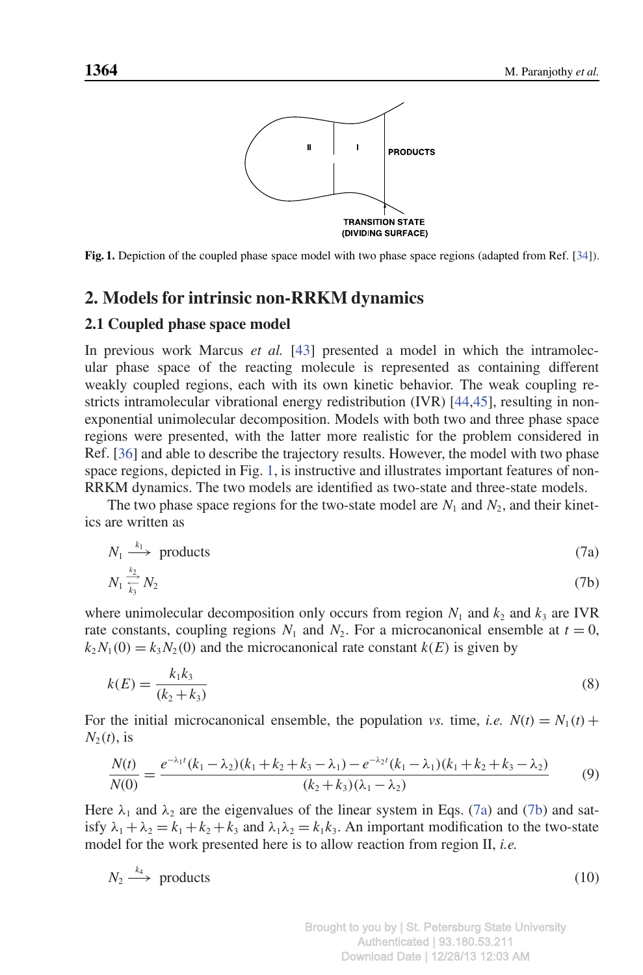

**Fig. 1.** Depiction of the coupled phase space model with two phase space regions (adapted from Ref. [34]).

# **2. Models for intrinsic non-RRKM dynamics**

#### **2.1 Coupled phase space model**

In previous work Marcus *et al.* [43] presented a model in which the intramolecular phase space of the reacting molecule is represented as containing different weakly coupled regions, each with its own kinetic behavior. The weak coupling restricts intramolecular vibrational energy redistribution (IVR) [44,45], resulting in nonexponential unimolecular decomposition. Models with both two and three phase space regions were presented, with the latter more realistic for the problem considered in Ref. [36] and able to describe the trajectory results. However, the model with two phase space regions, depicted in Fig. 1, is instructive and illustrates important features of non-RRKM dynamics. The two models are identified as two-state and three-state models.

The two phase space regions for the two-state model are  $N_1$  and  $N_2$ , and their kinetics are written as

$$
N_1 \stackrel{k_1}{\longrightarrow} \text{products} \tag{7a}
$$

$$
N_1 \frac{\frac{k_2}{k_3}}{k_3} N_2 \tag{7b}
$$

where unimolecular decomposition only occurs from region  $N_1$  and  $k_2$  and  $k_3$  are IVR rate constants, coupling regions  $N_1$  and  $N_2$ . For a microcanonical ensemble at  $t = 0$ ,  $k_2N_1(0) = k_3N_2(0)$  and the microcanonical rate constant  $k(E)$  is given by

$$
k(E) = \frac{k_1 k_3}{(k_2 + k_3)}
$$
\n(8)

For the initial microcanonical ensemble, the population *vs.* time, *i.e.*  $N(t) = N_1(t) +$  $N_2(t)$ , is

$$
\frac{N(t)}{N(0)} = \frac{e^{-\lambda_1 t} (k_1 - \lambda_2)(k_1 + k_2 + k_3 - \lambda_1) - e^{-\lambda_2 t} (k_1 - \lambda_1)(k_1 + k_2 + k_3 - \lambda_2)}{(k_2 + k_3)(\lambda_1 - \lambda_2)}
$$
(9)

Here  $\lambda_1$  and  $\lambda_2$  are the eigenvalues of the linear system in Eqs. (7a) and (7b) and satisfy  $\lambda_1 + \lambda_2 = k_1 + k_2 + k_3$  and  $\lambda_1 \lambda_2 = k_1 k_3$ . An important modification to the two-state model for the work presented here is to allow reaction from region II, *i.e.*

$$
N_2 \stackrel{k_4}{\longrightarrow} \text{products} \tag{10}
$$

Brought to you by | St. Petersburg State University Authenticated | 93.180.53.211 Download Date | 12/28/13 12:03 AM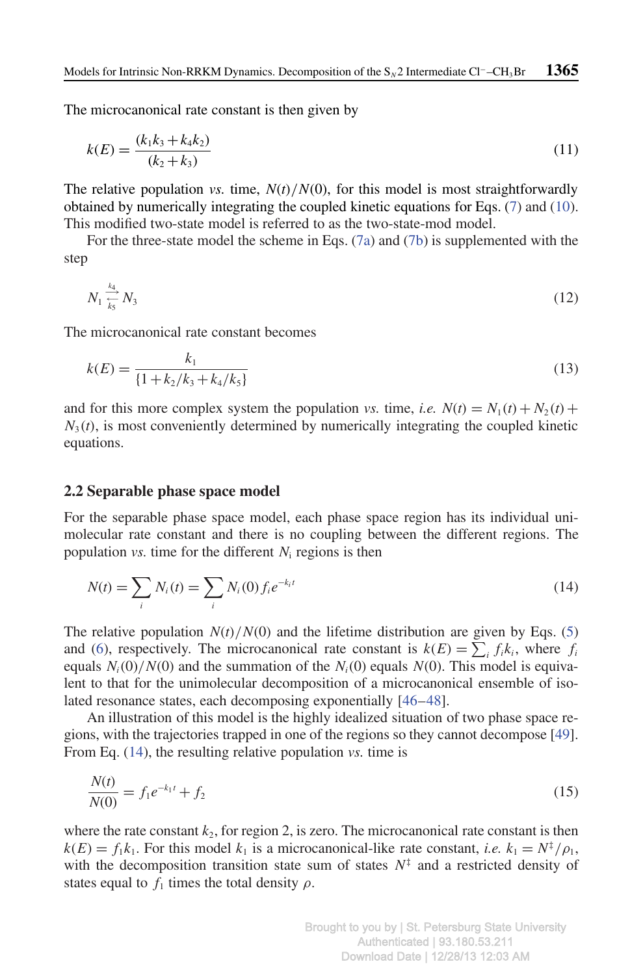The microcanonical rate constant is then given by

$$
k(E) = \frac{(k_1k_3 + k_4k_2)}{(k_2 + k_3)}
$$
\n(11)

The relative population *vs.* time,  $N(t)/N(0)$ , for this model is most straightforwardly obtained by numerically integrating the coupled kinetic equations for Eqs. (7) and (10). This modified two-state model is referred to as the two-state-mod model.

For the three-state model the scheme in Eqs. (7a) and (7b) is supplemented with the step

$$
N_1 \stackrel{k_4}{\underset{k_5}{\rightleftharpoons}} N_3 \tag{12}
$$

The microcanonical rate constant becomes

$$
k(E) = \frac{k_1}{\{1 + k_2/k_3 + k_4/k_5\}}
$$
(13)

and for this more complex system the population *vs.* time, *i.e.*  $N(t) = N_1(t) + N_2(t) +$  $N_3(t)$ , is most conveniently determined by numerically integrating the coupled kinetic equations.

#### **2.2 Separable phase space model**

For the separable phase space model, each phase space region has its individual unimolecular rate constant and there is no coupling between the different regions. The population *vs.* time for the different *N*<sup>i</sup> regions is then

$$
N(t) = \sum_{i} N_i(t) = \sum_{i} N_i(0) f_i e^{-k_i t}
$$
\n(14)

The relative population  $N(t)/N(0)$  and the lifetime distribution are given by Eqs. (5) and (6), respectively. The microcanonical rate constant is  $k(E) = \sum_i f_i k_i$ , where  $f_i$ equals  $N_i(0)/N(0)$  and the summation of the  $N_i(0)$  equals  $N(0)$ . This model is equivalent to that for the unimolecular decomposition of a microcanonical ensemble of isolated resonance states, each decomposing exponentially [46–48].

An illustration of this model is the highly idealized situation of two phase space regions, with the trajectories trapped in one of the regions so they cannot decompose [49]. From Eq. (14), the resulting relative population *vs.* time is

$$
\frac{N(t)}{N(0)} = f_1 e^{-k_1 t} + f_2 \tag{15}
$$

where the rate constant  $k_2$ , for region 2, is zero. The microcanonical rate constant is then  $k(E) = f_1 k_1$ . For this model  $k_1$  is a microcanonical-like rate constant, *i.e.*  $k_1 = N^{\ddagger}/\rho_1$ , with the decomposition transition state sum of states  $N^{\ddagger}$  and a restricted density of states equal to  $f_1$  times the total density  $\rho$ .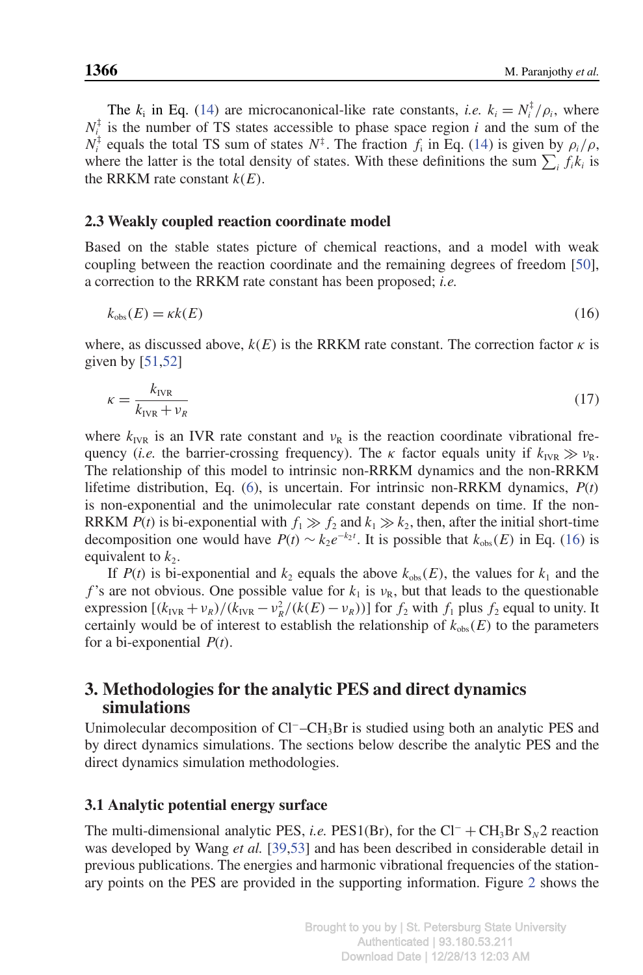The  $k_i$  in Eq. (14) are microcanonical-like rate constants, *i.e.*  $k_i = N_i^{\dagger}/\rho_i$ , where  $N_i^{\ddagger}$  is the number of TS states accessible to phase space region *i* and the sum of the  $N_i^{\dagger}$  equals the total TS sum of states  $N^{\dagger}$ . The fraction  $f_i$  in Eq. (14) is given by  $\rho_i/\rho$ , where the latter is the total density of states. With these definitions the sum  $\sum_i f_i k_i$  is the RRKM rate constant  $k(E)$ .

### **2.3 Weakly coupled reaction coordinate model**

Based on the stable states picture of chemical reactions, and a model with weak coupling between the reaction coordinate and the remaining degrees of freedom [50], a correction to the RRKM rate constant has been proposed; *i.e.*

$$
k_{\rm obs}(E) = \kappa k(E) \tag{16}
$$

where, as discussed above,  $k(E)$  is the RRKM rate constant. The correction factor  $\kappa$  is given by  $[51,52]$ 

$$
\kappa = \frac{k_{\text{IVR}}}{k_{\text{IVR}} + \nu_R} \tag{17}
$$

where  $k_{\text{IVR}}$  is an IVR rate constant and  $v_{\text{R}}$  is the reaction coordinate vibrational frequency (*i.e.* the barrier-crossing frequency). The  $\kappa$  factor equals unity if  $k_{\text{IVR}} \gg v_{\text{R}}$ . The relationship of this model to intrinsic non-RRKM dynamics and the non-RRKM lifetime distribution, Eq. (6), is uncertain. For intrinsic non-RRKM dynamics, *P*(*t*) is non-exponential and the unimolecular rate constant depends on time. If the non-RRKM *P*(*t*) is bi-exponential with  $f_1 \gg f_2$  and  $k_1 \gg k_2$ , then, after the initial short-time decomposition one would have  $P(t) \sim k_2 e^{-k_2 t}$ . It is possible that  $k_{obs}(E)$  in Eq. (16) is equivalent to  $k_2$ .

If  $P(t)$  is bi-exponential and  $k_2$  equals the above  $k_{obs}(E)$ , the values for  $k_1$  and the *f*'s are not obvious. One possible value for  $k_1$  is  $\nu_R$ , but that leads to the questionable expression  $[(k_{IVR} + \nu_R)/(k_{IVR} - \nu_R^2/(k(E) - \nu_R))]$  for  $f_2$  with  $f_1$  plus  $f_2$  equal to unity. It certainly would be of interest to establish the relationship of  $k_{obs}(E)$  to the parameters for a bi-exponential *P*(*t*).

# **3. Methodologies for the analytic PES and direct dynamics simulations**

Unimolecular decomposition of Cl<sup>−</sup>–CH<sub>3</sub>Br is studied using both an analytic PES and by direct dynamics simulations. The sections below describe the analytic PES and the direct dynamics simulation methodologies.

## **3.1 Analytic potential energy surface**

The multi-dimensional analytic PES, *i.e.* PES1(Br), for the Cl<sup>−</sup> + CH<sub>3</sub>Br S<sub>N</sub>2 reaction was developed by Wang *et al.* [39,53] and has been described in considerable detail in previous publications. The energies and harmonic vibrational frequencies of the stationary points on the PES are provided in the supporting information. Figure 2 shows the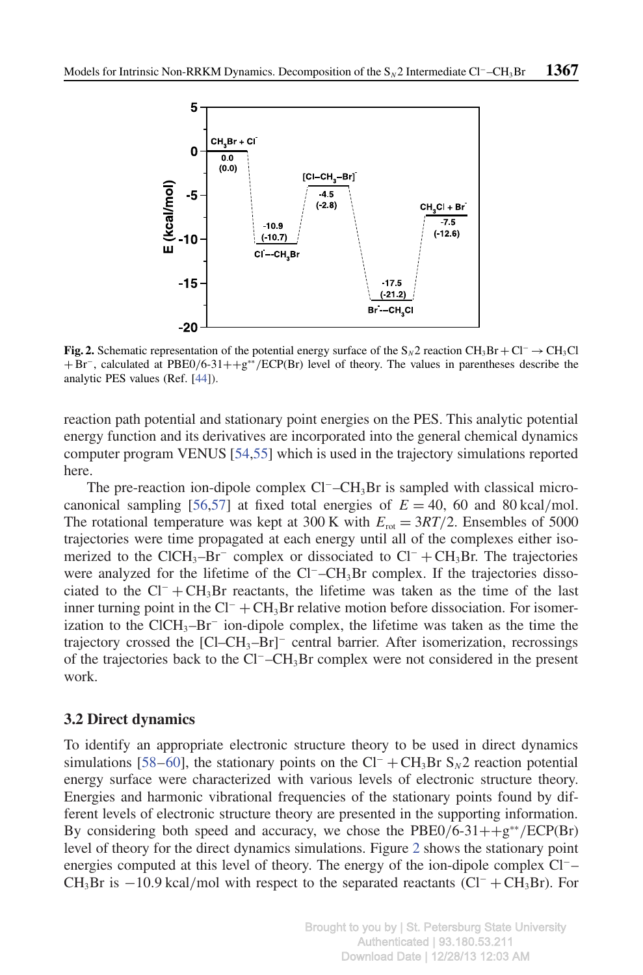

**Fig. 2.** Schematic representation of the potential energy surface of the S*N*2 reaction CH3Br + Cl<sup>−</sup> →CH3Cl + Br<sup>−</sup> , calculated at PBE0/6-31++g ∗∗/ECP(Br) level of theory. The values in parentheses describe the analytic PES values (Ref. [44]).

reaction path potential and stationary point energies on the PES. This analytic potential energy function and its derivatives are incorporated into the general chemical dynamics computer program VENUS [54,55] which is used in the trajectory simulations reported here.

The pre-reaction ion-dipole complex Cl<sup>−</sup>–CH<sub>3</sub>Br is sampled with classical microcanonical sampling [56,57] at fixed total energies of  $E = 40$ , 60 and 80 kcal/mol. The rotational temperature was kept at 300 K with  $E_{\text{rot}} = 3RT/2$ . Ensembles of 5000 trajectories were time propagated at each energy until all of the complexes either isomerized to the ClCH<sub>3</sub>–Br<sup>−</sup> complex or dissociated to Cl<sup>−</sup> + CH<sub>3</sub>Br. The trajectories were analyzed for the lifetime of the Cl<sup>−</sup>–CH<sub>3</sub>Br complex. If the trajectories dissociated to the  $Cl^- + CH_3Br$  reactants, the lifetime was taken as the time of the last inner turning point in the  $Cl^- + CH_3Br$  relative motion before dissociation. For isomerization to the ClCH<sub>3</sub>–Br<sup>-</sup> ion-dipole complex, the lifetime was taken as the time the trajectory crossed the [Cl–CH<sub>3</sub>–Br]<sup>−</sup> central barrier. After isomerization, recrossings of the trajectories back to the Cl<sup>−</sup>–CH3Br complex were not considered in the present work.

#### **3.2 Direct dynamics**

To identify an appropriate electronic structure theory to be used in direct dynamics simulations [58–60], the stationary points on the  $Cl^- + CH_3Br S_N2$  reaction potential energy surface were characterized with various levels of electronic structure theory. Energies and harmonic vibrational frequencies of the stationary points found by different levels of electronic structure theory are presented in the supporting information. By considering both speed and accuracy, we chose the PBE0/6-31++g<sup>\*\*</sup>/ECP(Br) level of theory for the direct dynamics simulations. Figure 2 shows the stationary point energies computed at this level of theory. The energy of the ion-dipole complex Cl<sup>−</sup>– CH<sub>3</sub>Br is −10.9 kcal/mol with respect to the separated reactants (Cl<sup>−</sup> + CH<sub>3</sub>Br). For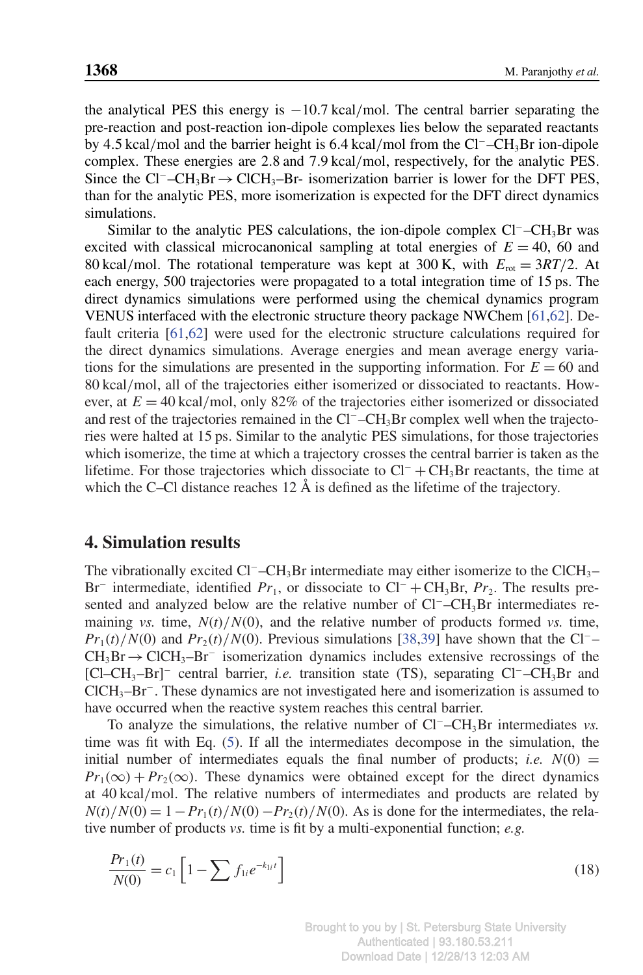the analytical PES this energy is  $-10.7$  kcal/mol. The central barrier separating the pre-reaction and post-reaction ion-dipole complexes lies below the separated reactants by 4.5 kcal/mol and the barrier height is 6.4 kcal/mol from the Cl<sup>−</sup>–CH3Br ion-dipole complex. These energies are 2.8 and 7.9 kcal/mol, respectively, for the analytic PES. Since the Cl<sup>−</sup>–CH<sub>3</sub>Br → ClCH<sub>3</sub>–Br- isomerization barrier is lower for the DFT PES, than for the analytic PES, more isomerization is expected for the DFT direct dynamics simulations.

Similar to the analytic PES calculations, the ion-dipole complex Cl<sup>−</sup>–CH<sub>3</sub>Br was excited with classical microcanonical sampling at total energies of  $E = 40$ , 60 and 80 kcal/mol. The rotational temperature was kept at 300 K, with  $E_{\text{rot}} = 3RT/2$ . At each energy, 500 trajectories were propagated to a total integration time of 15 ps. The direct dynamics simulations were performed using the chemical dynamics program VENUS interfaced with the electronic structure theory package NWChem [61,62]. Default criteria [61,62] were used for the electronic structure calculations required for the direct dynamics simulations. Average energies and mean average energy variations for the simulations are presented in the supporting information. For  $E = 60$  and 80 kcal/mol, all of the trajectories either isomerized or dissociated to reactants. However, at  $E = 40$  kcal/mol, only 82% of the trajectories either isomerized or dissociated and rest of the trajectories remained in the Cl<sup>−</sup>–CH3Br complex well when the trajectories were halted at 15 ps. Similar to the analytic PES simulations, for those trajectories which isomerize, the time at which a trajectory crosses the central barrier is taken as the lifetime. For those trajectories which dissociate to  $Cl^- + CH_3Br$  reactants, the time at which the C–Cl distance reaches 12 Å is defined as the lifetime of the trajectory.

## **4. Simulation results**

The vibrationally excited Cl<sup>−</sup>–CH<sub>3</sub>Br intermediate may either isomerize to the ClCH<sub>3</sub>– Br<sup>-</sup> intermediate, identified  $Pr_1$ , or dissociate to Cl<sup>-</sup> + CH<sub>3</sub>Br,  $Pr_2$ . The results presented and analyzed below are the relative number of Cl<sup>−</sup>–CH<sub>3</sub>Br intermediates remaining *vs.* time,  $N(t)/N(0)$ , and the relative number of products formed *vs.* time,  $Pr_1(t)/N(0)$  and  $Pr_2(t)/N(0)$ . Previous simulations [38,39] have shown that the Cl<sup>−</sup>–  $CH<sub>3</sub>Br \rightarrow ClCH<sub>3</sub>–Br<sup>-</sup>$  isomerization dynamics includes extensive recrossings of the [Cl–CH<sub>3</sub>–Br]<sup>−</sup> central barrier, *i.e.* transition state (TS), separating Cl<sup>-</sup>–CH<sub>3</sub>Br and ClCH3–Br<sup>−</sup> . These dynamics are not investigated here and isomerization is assumed to have occurred when the reactive system reaches this central barrier.

To analyze the simulations, the relative number of Cl<sup>−</sup>–CH<sub>3</sub>Br intermediates *vs*. time was fit with Eq. (5). If all the intermediates decompose in the simulation, the initial number of intermediates equals the final number of products; *i.e.*  $N(0)$  =  $Pr_1(\infty) + Pr_2(\infty)$ . These dynamics were obtained except for the direct dynamics at 40 kcal/mol. The relative numbers of intermediates and products are related by  $N(t)/N(0) = 1 - Pr_1(t)/N(0) - Pr_2(t)/N(0)$ . As is done for the intermediates, the relative number of products *vs.* time is fit by a multi-exponential function; *e.g.*

$$
\frac{Pr_1(t)}{N(0)} = c_1 \left[ 1 - \sum f_{1i} e^{-k_{1i}t} \right]
$$
\n(18)

Brought to you by | St. Petersburg State University Authenticated | 93.180.53.211 Download Date | 12/28/13 12:03 AM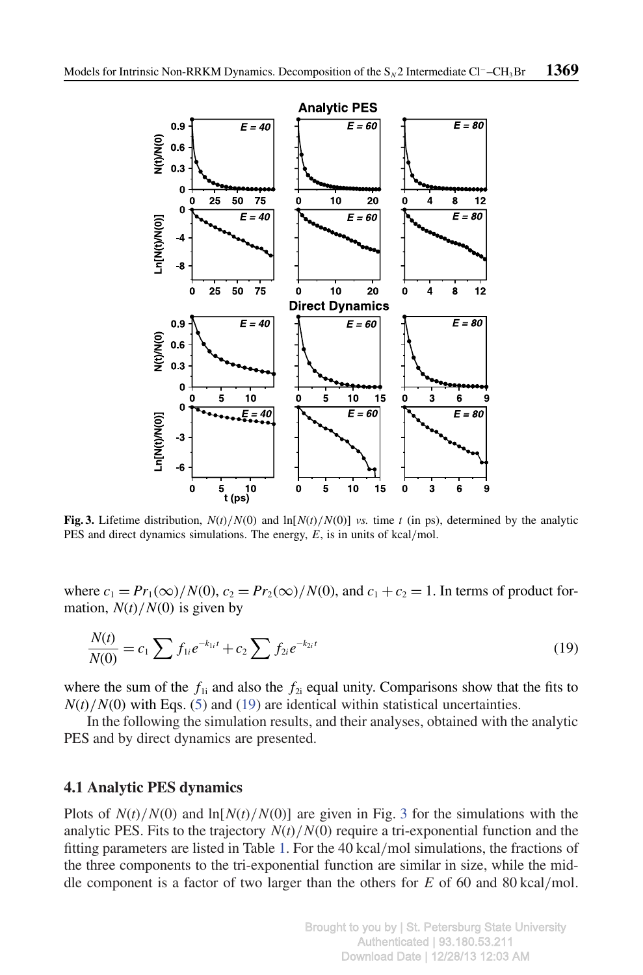

**Fig. 3.** Lifetime distribution,  $N(t)/N(0)$  and  $\ln[N(t)/N(0)]$  *vs.* time *t* (in ps), determined by the analytic PES and direct dynamics simulations. The energy, *E*, is in units of kcal/mol.

where  $c_1 = Pr_1(\infty)/N(0)$ ,  $c_2 = Pr_2(\infty)/N(0)$ , and  $c_1 + c_2 = 1$ . In terms of product formation,  $N(t)/N(0)$  is given by

$$
\frac{N(t)}{N(0)} = c_1 \sum f_{1i} e^{-k_{1i}t} + c_2 \sum f_{2i} e^{-k_{2i}t}
$$
\n(19)

where the sum of the  $f_{1i}$  and also the  $f_{2i}$  equal unity. Comparisons show that the fits to  $N(t)/N(0)$  with Eqs. (5) and (19) are identical within statistical uncertainties.

In the following the simulation results, and their analyses, obtained with the analytic PES and by direct dynamics are presented.

## **4.1 Analytic PES dynamics**

Plots of  $N(t)/N(0)$  and  $\ln[N(t)/N(0)]$  are given in Fig. 3 for the simulations with the analytic PES. Fits to the trajectory  $N(t)/N(0)$  require a tri-exponential function and the fitting parameters are listed in Table 1. For the 40 kcal/mol simulations, the fractions of the three components to the tri-exponential function are similar in size, while the middle component is a factor of two larger than the others for *E* of 60 and 80 kcal/mol.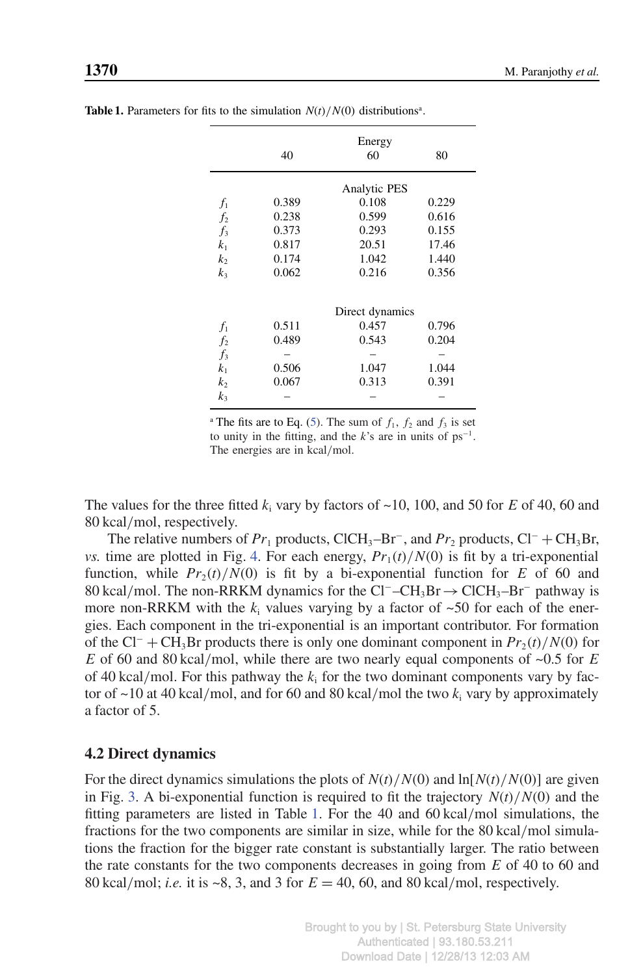|                | 40                  | Energy<br>60    | 80    |  |  |  |  |
|----------------|---------------------|-----------------|-------|--|--|--|--|
|                |                     |                 |       |  |  |  |  |
|                | <b>Analytic PES</b> |                 |       |  |  |  |  |
| $f_1$          | 0.389               | 0.108           | 0.229 |  |  |  |  |
| $f_2$          | 0.238               | 0.599           | 0.616 |  |  |  |  |
| $f_3$          | 0.373               | 0.293           | 0.155 |  |  |  |  |
| k <sub>1</sub> | 0.817               | 20.51           | 17.46 |  |  |  |  |
| $k_2$          | 0.174               | 1.042           | 1.440 |  |  |  |  |
| k <sub>3</sub> | 0.062               | 0.216           | 0.356 |  |  |  |  |
|                |                     | Direct dynamics |       |  |  |  |  |
| $f_1$          | 0.511               | 0.457           | 0.796 |  |  |  |  |
| f <sub>2</sub> | 0.489               | 0.543           | 0.204 |  |  |  |  |
| $f_3$          |                     |                 |       |  |  |  |  |
| $k_{1}$        | 0.506               | 1.047           | 1.044 |  |  |  |  |
| $k_2$          | 0.067               | 0.313           | 0.391 |  |  |  |  |
| $k_{3}$        |                     |                 |       |  |  |  |  |

**Table 1.** Parameters for fits to the simulation  $N(t)/N(0)$  distributions<sup>a</sup>.

<sup>a</sup> The fits are to Eq. (5). The sum of  $f_1$ ,  $f_2$  and  $f_3$  is set to unity in the fitting, and the  $k$ 's are in units of  $ps^{-1}$ . The energies are in kcal/mol.

The values for the three fitted  $k_i$  vary by factors of  $\sim$ 10, 100, and 50 for *E* of 40, 60 and 80 kcal/mol, respectively.

The relative numbers of  $Pr_1$  products, ClCH<sub>3</sub>–Br<sup>-</sup>, and  $Pr_2$  products, Cl<sup>−</sup> + CH<sub>3</sub>Br, *vs.* time are plotted in Fig. 4. For each energy,  $Pr_1(t)/N(0)$  is fit by a tri-exponential function, while  $Pr_2(t)/N(0)$  is fit by a bi-exponential function for *E* of 60 and 80 kcal/mol. The non-RRKM dynamics for the Cl<sup>−</sup>–CH<sub>3</sub>Br→ClCH<sub>3</sub>–Br<sup>–</sup> pathway is more non-RRKM with the  $k_i$  values varying by a factor of  $\sim$ 50 for each of the energies. Each component in the tri-exponential is an important contributor. For formation of the Cl<sup>−</sup> + CH<sub>3</sub>Br products there is only one dominant component in  $Pr_2(t)/N(0)$  for *E* of 60 and 80 kcal/mol, while there are two nearly equal components of  $\sim 0.5$  for *E* of 40 kcal/mol. For this pathway the  $k_i$  for the two dominant components vary by factor of  $\sim$ 10 at 40 kcal/mol, and for 60 and 80 kcal/mol the two  $k_i$  vary by approximately a factor of 5.

#### **4.2 Direct dynamics**

For the direct dynamics simulations the plots of  $N(t)/N(0)$  and  $\ln[N(t)/N(0)]$  are given in Fig. 3. A bi-exponential function is required to fit the trajectory  $N(t)/N(0)$  and the fitting parameters are listed in Table 1. For the 40 and 60 kcal/mol simulations, the fractions for the two components are similar in size, while for the 80 kcal/mol simulations the fraction for the bigger rate constant is substantially larger. The ratio between the rate constants for the two components decreases in going from *E* of 40 to 60 and 80 kcal/mol; *i.e.* it is ~8, 3, and 3 for *E* = 40, 60, and 80 kcal/mol, respectively.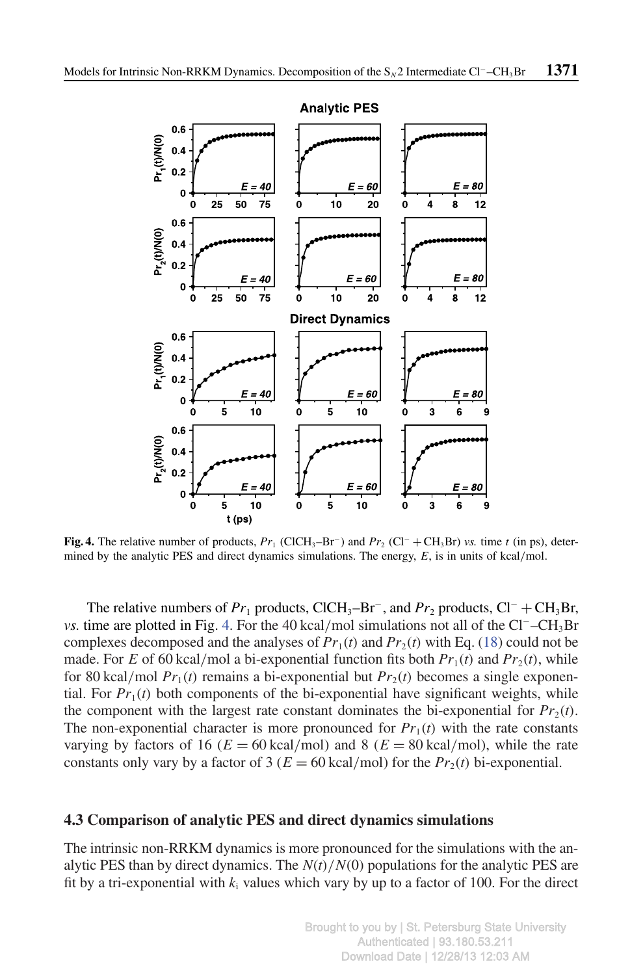

**Fig. 4.** The relative number of products,  $Pr_1$  (ClCH<sub>3</sub>–Br<sup>-</sup>) and  $Pr_2$  (Cl<sup>-</sup> + CH<sub>3</sub>Br) *vs.* time *t* (in ps), determined by the analytic PES and direct dynamics simulations. The energy, *E*, is in units of kcal/mol.

The relative numbers of  $Pr_1$  products, ClCH<sub>3</sub>–Br<sup>-</sup>, and  $Pr_2$  products, Cl<sup>-</sup> + CH<sub>3</sub>Br, *vs.* time are plotted in Fig. 4. For the 40 kcal/mol simulations not all of the Cl<sup>−</sup>–CH<sub>3</sub>Br complexes decomposed and the analyses of  $Pr_1(t)$  and  $Pr_2(t)$  with Eq. (18) could not be made. For *E* of 60 kcal/mol a bi-exponential function fits both  $Pr_1(t)$  and  $Pr_2(t)$ , while for 80 kcal/mol  $Pr_1(t)$  remains a bi-exponential but  $Pr_2(t)$  becomes a single exponential. For  $Pr_1(t)$  both components of the bi-exponential have significant weights, while the component with the largest rate constant dominates the bi-exponential for  $Pr_2(t)$ . The non-exponential character is more pronounced for  $Pr_1(t)$  with the rate constants varying by factors of 16 ( $E = 60 \text{ kcal/mol}$ ) and 8 ( $E = 80 \text{ kcal/mol}$ ), while the rate constants only vary by a factor of 3 ( $E = 60 \text{ kcal/mol}$ ) for the  $Pr_2(t)$  bi-exponential.

#### **4.3 Comparison of analytic PES and direct dynamics simulations**

The intrinsic non-RRKM dynamics is more pronounced for the simulations with the analytic PES than by direct dynamics. The  $N(t)/N(0)$  populations for the analytic PES are fit by a tri-exponential with  $k_i$  values which vary by up to a factor of 100. For the direct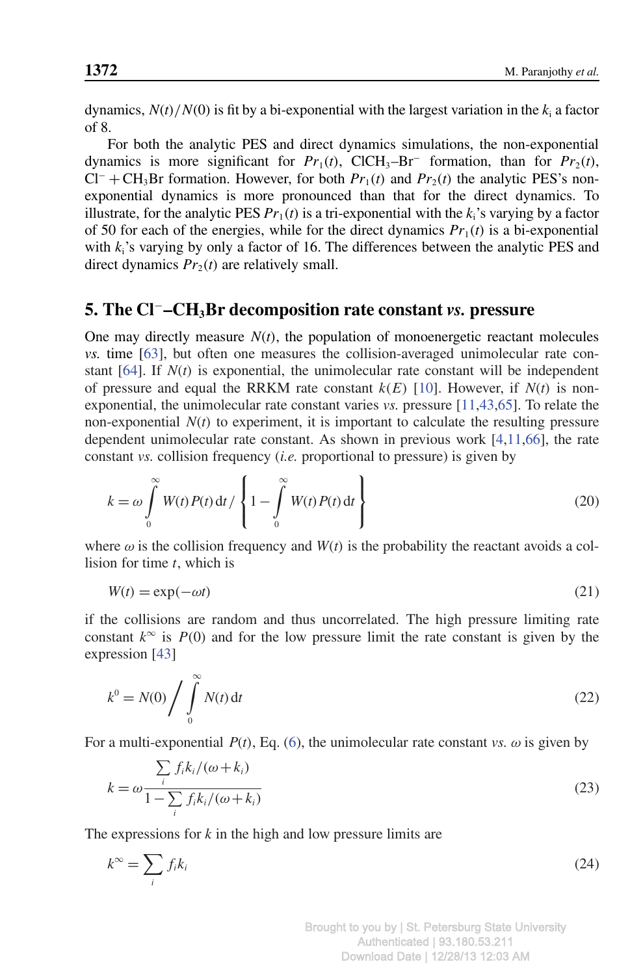dynamics,  $N(t)/N(0)$  is fit by a bi-exponential with the largest variation in the  $k_i$  a factor of 8.

For both the analytic PES and direct dynamics simulations, the non-exponential dynamics is more significant for  $Pr_1(t)$ , ClCH<sub>3</sub>–Br<sup>–</sup> formation, than for  $Pr_2(t)$ ,  $Cl^-$  + CH<sub>3</sub>Br formation. However, for both  $Pr_1(t)$  and  $Pr_2(t)$  the analytic PES's nonexponential dynamics is more pronounced than that for the direct dynamics. To illustrate, for the analytic PES  $Pr_1(t)$  is a tri-exponential with the  $k_i$ 's varying by a factor of 50 for each of the energies, while for the direct dynamics  $Pr_1(t)$  is a bi-exponential with  $k_i$ 's varying by only a factor of 16. The differences between the analytic PES and direct dynamics  $Pr_2(t)$  are relatively small.

## **5. The Cl**<sup>−</sup>**–CH3Br decomposition rate constant** *vs.* **pressure**

One may directly measure  $N(t)$ , the population of monoenergetic reactant molecules *vs.* time [63], but often one measures the collision-averaged unimolecular rate constant  $[64]$ . If  $N(t)$  is exponential, the unimolecular rate constant will be independent of pressure and equal the RRKM rate constant  $k(E)$  [10]. However, if  $N(t)$  is nonexponential, the unimolecular rate constant varies *vs.* pressure [11,43,65]. To relate the non-exponential  $N(t)$  to experiment, it is important to calculate the resulting pressure dependent unimolecular rate constant. As shown in previous work [4,11,66], the rate constant *vs.* collision frequency (*i.e.* proportional to pressure) is given by

$$
k = \omega \int_{0}^{\infty} W(t) P(t) dt / \left\{ 1 - \int_{0}^{\infty} W(t) P(t) dt \right\}
$$
 (20)

where  $\omega$  is the collision frequency and  $W(t)$  is the probability the reactant avoids a collision for time *t*, which is

$$
W(t) = \exp(-\omega t) \tag{21}
$$

if the collisions are random and thus uncorrelated. The high pressure limiting rate constant  $k^{\infty}$  is  $P(0)$  and for the low pressure limit the rate constant is given by the expression [43]

$$
k^0 = N(0) \bigg/ \int\limits_0^\infty N(t) \, \mathrm{d}t \tag{22}
$$

For a multi-exponential  $P(t)$ , Eq. (6), the unimolecular rate constant *vs.*  $\omega$  is given by

$$
k = \omega \frac{\sum_{i} f_i k_i / (\omega + k_i)}{1 - \sum_{i} f_i k_i / (\omega + k_i)}
$$
(23)

The expressions for *k* in the high and low pressure limits are

$$
k^{\infty} = \sum_{i} f_{i} k_{i}
$$
 (24)

Brought to you by | St. Petersburg State University Authenticated | 93.180.53.211 Download Date | 12/28/13 12:03 AM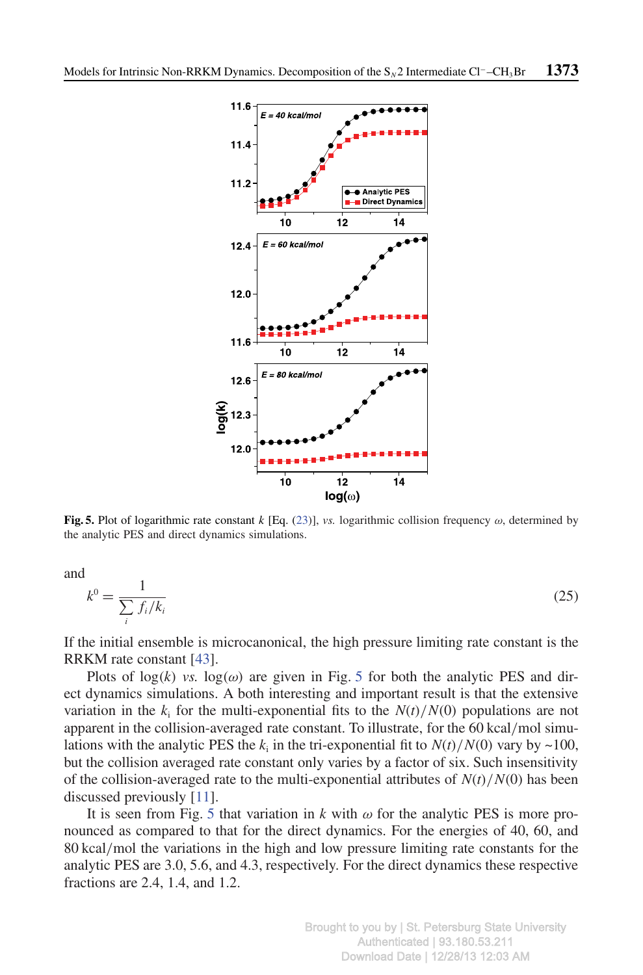

**Fig. 5.** Plot of logarithmic rate constant *k* [Eq. (23)], *vs.* logarithmic collision frequency ω, determined by the analytic PES and direct dynamics simulations.

and

$$
k^0 = \frac{1}{\sum_{i} f_i / k_i} \tag{25}
$$

If the initial ensemble is microcanonical, the high pressure limiting rate constant is the RRKM rate constant [43].

Plots of  $log(k)$  *vs.*  $log(\omega)$  are given in Fig. 5 for both the analytic PES and direct dynamics simulations. A both interesting and important result is that the extensive variation in the  $k_i$  for the multi-exponential fits to the  $N(t)/N(0)$  populations are not apparent in the collision-averaged rate constant. To illustrate, for the 60 kcal/mol simulations with the analytic PES the  $k_i$  in the tri-exponential fit to  $N(t)/N(0)$  vary by ~100, but the collision averaged rate constant only varies by a factor of six. Such insensitivity of the collision-averaged rate to the multi-exponential attributes of  $N(t)/N(0)$  has been discussed previously [11].

It is seen from Fig. 5 that variation in  $k$  with  $\omega$  for the analytic PES is more pronounced as compared to that for the direct dynamics. For the energies of 40, 60, and 80 kcal/mol the variations in the high and low pressure limiting rate constants for the analytic PES are 3.0, 5.6, and 4.3, respectively. For the direct dynamics these respective fractions are 2.4, 1.4, and 1.2.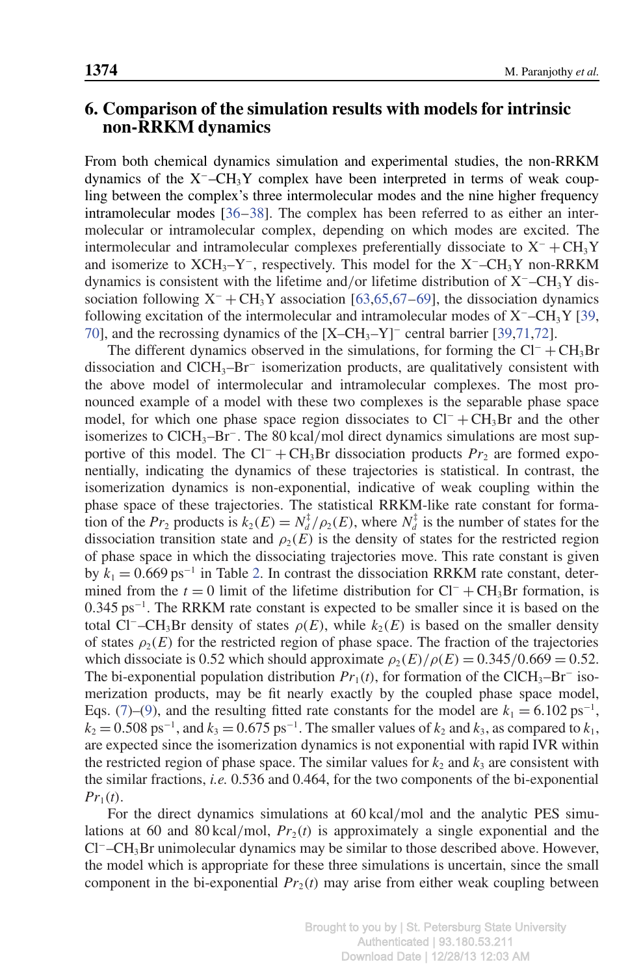# **6. Comparison of the simulation results with models for intrinsic non-RRKM dynamics**

From both chemical dynamics simulation and experimental studies, the non-RRKM dynamics of the X<sup>−</sup>–CH3Y complex have been interpreted in terms of weak coupling between the complex's three intermolecular modes and the nine higher frequency intramolecular modes [36–38]. The complex has been referred to as either an intermolecular or intramolecular complex, depending on which modes are excited. The intermolecular and intramolecular complexes preferentially dissociate to  $X^- + CH_3Y$ and isomerize to  $XCH_3-Y^-$ , respectively. This model for the  $X^-$ –CH<sub>3</sub>Y non-RRKM dynamics is consistent with the lifetime and/or lifetime distribution of X<sup>−</sup>–CH3Y dissociation following  $X^- + CH_3Y$  association [63,65,67–69], the dissociation dynamics following excitation of the intermolecular and intramolecular modes of X<sup>−</sup>–CH3Y [39, 70], and the recrossing dynamics of the [X–CH<sub>3</sub>–Y]<sup>–</sup> central barrier [39,71,72].

The different dynamics observed in the simulations, for forming the  $Cl^- + CH_3Br$ dissociation and ClCH3–Br<sup>−</sup> isomerization products, are qualitatively consistent with the above model of intermolecular and intramolecular complexes. The most pronounced example of a model with these two complexes is the separable phase space model, for which one phase space region dissociates to  $Cl^- + CH_3Br$  and the other isomerizes to ClCH<sub>3</sub>-Br<sup>-</sup>. The 80 kcal/mol direct dynamics simulations are most supportive of this model. The Cl<sup>−</sup> + CH<sub>3</sub>Br dissociation products  $Pr_2$  are formed exponentially, indicating the dynamics of these trajectories is statistical. In contrast, the isomerization dynamics is non-exponential, indicative of weak coupling within the phase space of these trajectories. The statistical RRKM-like rate constant for formation of the  $Pr_2$  products is  $k_2(E) = N_d^{\frac{1}{4}}/\rho_2(E)$ , where  $N_d^{\frac{1}{4}}$  is the number of states for the dissociation transition state and  $\rho_2(E)$  is the density of states for the restricted region of phase space in which the dissociating trajectories move. This rate constant is given by  $k_1 = 0.669 \text{ ps}^{-1}$  in Table 2. In contrast the dissociation RRKM rate constant, determined from the  $t = 0$  limit of the lifetime distribution for  $Cl^- + CH_3Br$  formation, is 0.345 ps<sup>-1</sup>. The RRKM rate constant is expected to be smaller since it is based on the total Cl<sup>−</sup>–CH<sub>3</sub>Br density of states  $\rho(E)$ , while  $k_2(E)$  is based on the smaller density of states  $\rho_2(E)$  for the restricted region of phase space. The fraction of the trajectories which dissociate is 0.52 which should approximate  $\rho_2(E)/\rho(E) = 0.345/0.669 = 0.52$ . The bi-exponential population distribution  $Pr_1(t)$ , for formation of the ClCH<sub>3</sub>–Br<sup>−</sup> isomerization products, may be fit nearly exactly by the coupled phase space model, Eqs. (7)–(9), and the resulting fitted rate constants for the model are  $k_1 = 6.102 \text{ ps}^{-1}$ ,  $k_2 = 0.508 \text{ ps}^{-1}$ , and  $k_3 = 0.675 \text{ ps}^{-1}$ . The smaller values of  $k_2$  and  $k_3$ , as compared to  $k_1$ , are expected since the isomerization dynamics is not exponential with rapid IVR within the restricted region of phase space. The similar values for  $k_2$  and  $k_3$  are consistent with the similar fractions, *i.e.* 0.536 and 0.464, for the two components of the bi-exponential  $Pr_1(t)$ .

For the direct dynamics simulations at 60 kcal/mol and the analytic PES simulations at 60 and 80 kcal/mol,  $Pr_2(t)$  is approximately a single exponential and the Cl<sup>−</sup>–CH3Br unimolecular dynamics may be similar to those described above. However, the model which is appropriate for these three simulations is uncertain, since the small component in the bi-exponential  $Pr_2(t)$  may arise from either weak coupling between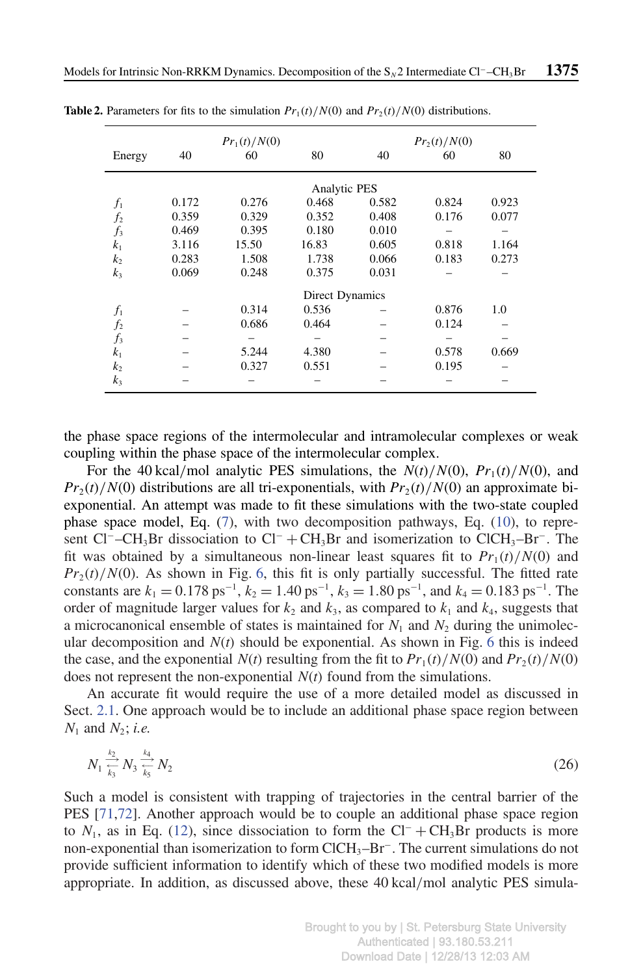|                |       | $Pr_1(t)/N(0)$  | $Pr_2(t)/N(0)$ |       |       |       |  |
|----------------|-------|-----------------|----------------|-------|-------|-------|--|
| Energy         | 40    | 60              | 80             | 40    | 60    | 80    |  |
|                |       | Analytic PES    |                |       |       |       |  |
| $f_1$          | 0.172 | 0.276           | 0.468          | 0.582 | 0.824 | 0.923 |  |
| $f_2$          | 0.359 | 0.329           | 0.352          | 0.408 | 0.176 | 0.077 |  |
| $f_3$          | 0.469 | 0.395           | 0.180          | 0.010 |       |       |  |
| k <sub>1</sub> | 3.116 | 15.50           | 16.83          | 0.605 | 0.818 | 1.164 |  |
| k <sub>2</sub> | 0.283 | 1.508           | 1.738          | 0.066 | 0.183 | 0.273 |  |
| k <sub>3</sub> | 0.069 | 0.248           | 0.375          | 0.031 |       |       |  |
|                |       | Direct Dynamics |                |       |       |       |  |
| $f_1$          |       | 0.314           | 0.536          |       | 0.876 | 1.0   |  |
| $f_2$          |       | 0.686           | 0.464          |       | 0.124 |       |  |
| $f_3$          |       |                 |                |       |       |       |  |
| k <sub>1</sub> |       | 5.244           | 4.380          |       | 0.578 | 0.669 |  |
| k <sub>2</sub> |       | 0.327           | 0.551          |       | 0.195 |       |  |
| $k_3$          |       |                 |                |       |       |       |  |

**Table 2.** Parameters for fits to the simulation  $Pr_1(t)/N(0)$  and  $Pr_2(t)/N(0)$  distributions.

the phase space regions of the intermolecular and intramolecular complexes or weak coupling within the phase space of the intermolecular complex.

For the 40 kcal/mol analytic PES simulations, the  $N(t)/N(0)$ ,  $Pr_1(t)/N(0)$ , and  $Pr_2(t)/N(0)$  distributions are all tri-exponentials, with  $Pr_2(t)/N(0)$  an approximate biexponential. An attempt was made to fit these simulations with the two-state coupled phase space model, Eq. (7), with two decomposition pathways, Eq. (10), to represent Cl<sup>−</sup>–CH<sub>3</sub>Br dissociation to Cl<sup>−</sup> + CH<sub>3</sub>Br and isomerization to ClCH<sub>3</sub>–Br<sup>−</sup>. The fit was obtained by a simultaneous non-linear least squares fit to  $Pr_1(t)/N(0)$  and  $Pr_2(t)/N(0)$ . As shown in Fig. 6, this fit is only partially successful. The fitted rate constants are  $k_1 = 0.178 \text{ ps}^{-1}$ ,  $k_2 = 1.40 \text{ ps}^{-1}$ ,  $k_3 = 1.80 \text{ ps}^{-1}$ , and  $k_4 = 0.183 \text{ ps}^{-1}$ . The order of magnitude larger values for  $k_2$  and  $k_3$ , as compared to  $k_1$  and  $k_4$ , suggests that a microcanonical ensemble of states is maintained for  $N_1$  and  $N_2$  during the unimolecular decomposition and  $N(t)$  should be exponential. As shown in Fig. 6 this is indeed the case, and the exponential  $N(t)$  resulting from the fit to  $Pr_1(t)/N(0)$  and  $Pr_2(t)/N(0)$ does not represent the non-exponential *N*(*t*) found from the simulations.

An accurate fit would require the use of a more detailed model as discussed in Sect. 2.1. One approach would be to include an additional phase space region between *N*<sup>1</sup> and *N*<sup>2</sup> ; *i.e.*

$$
N_1 \frac{\frac{k_2}{k_3}}{k_3} N_2 \frac{k_4}{k_5} N_2 \tag{26}
$$

Such a model is consistent with trapping of trajectories in the central barrier of the PES [71,72]. Another approach would be to couple an additional phase space region to  $N_1$ , as in Eq. (12), since dissociation to form the Cl<sup>-</sup> + CH<sub>3</sub>Br products is more non-exponential than isomerization to form ClCH<sub>3</sub>-Br<sup>−</sup>. The current simulations do not provide sufficient information to identify which of these two modified models is more appropriate. In addition, as discussed above, these 40 kcal/mol analytic PES simula-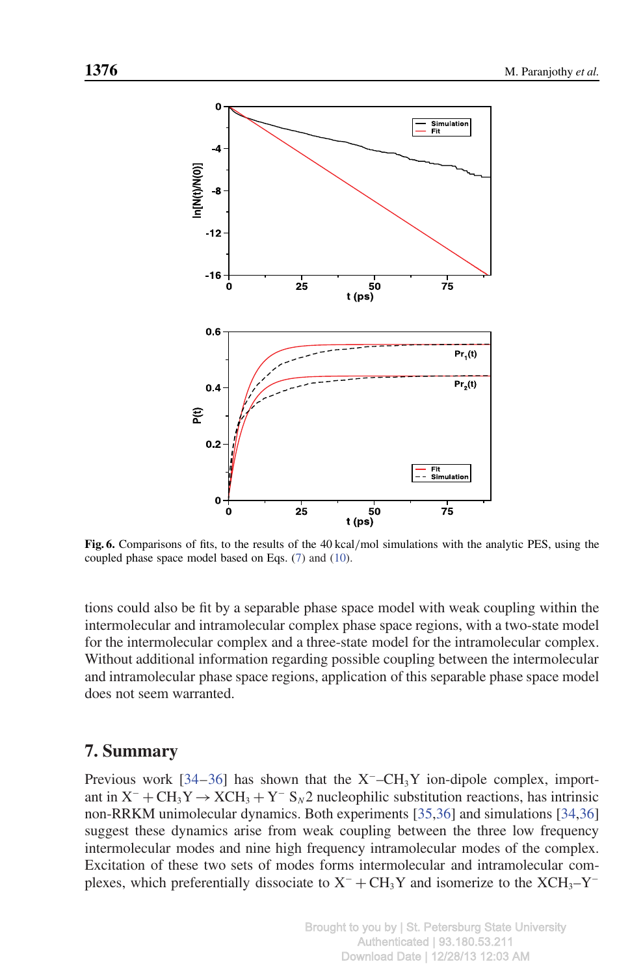

**Fig. 6.** Comparisons of fits, to the results of the 40 kcal/mol simulations with the analytic PES, using the coupled phase space model based on Eqs. (7) and (10).

tions could also be fit by a separable phase space model with weak coupling within the intermolecular and intramolecular complex phase space regions, with a two-state model for the intermolecular complex and a three-state model for the intramolecular complex. Without additional information regarding possible coupling between the intermolecular and intramolecular phase space regions, application of this separable phase space model does not seem warranted.

# **7. Summary**

Previous work [34–36] has shown that the  $X^-$ –CH<sub>3</sub>Y ion-dipole complex, important in X<sup>−</sup> + CH3Y→XCH<sup>3</sup> + Y <sup>−</sup> S*<sup>N</sup>* 2 nucleophilic substitution reactions, has intrinsic non-RRKM unimolecular dynamics. Both experiments [35,36] and simulations [34,36] suggest these dynamics arise from weak coupling between the three low frequency intermolecular modes and nine high frequency intramolecular modes of the complex. Excitation of these two sets of modes forms intermolecular and intramolecular complexes, which preferentially dissociate to  $X^- + CH_3Y$  and isomerize to the  $XCH_3-Y^-$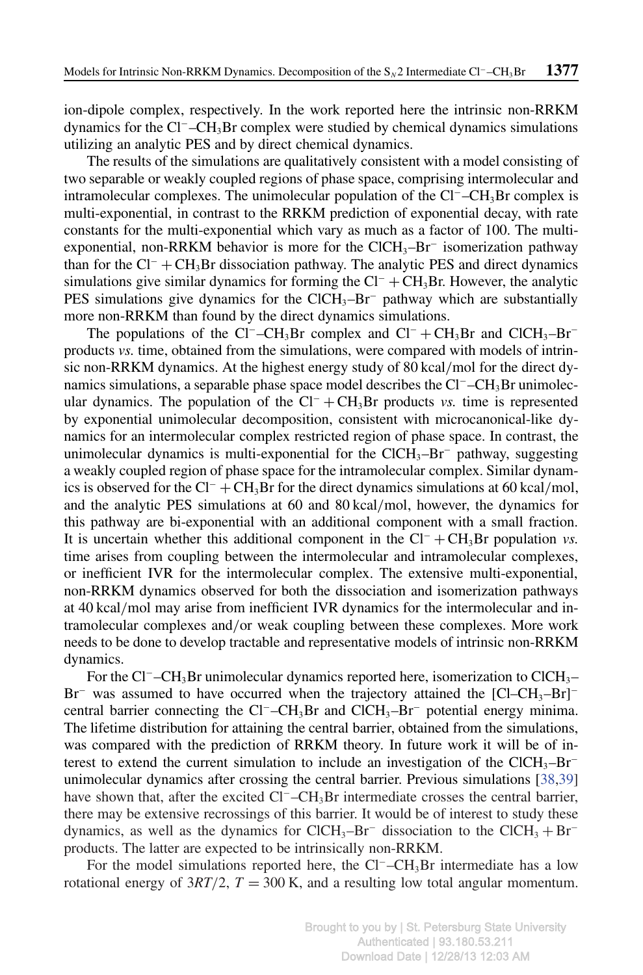ion-dipole complex, respectively. In the work reported here the intrinsic non-RRKM dynamics for the Cl<sup>−</sup>–CH3Br complex were studied by chemical dynamics simulations utilizing an analytic PES and by direct chemical dynamics.

The results of the simulations are qualitatively consistent with a model consisting of two separable or weakly coupled regions of phase space, comprising intermolecular and intramolecular complexes. The unimolecular population of the Cl<sup>−</sup>–CH3Br complex is multi-exponential, in contrast to the RRKM prediction of exponential decay, with rate constants for the multi-exponential which vary as much as a factor of 100. The multiexponential, non-RRKM behavior is more for the ClCH<sub>3</sub>-Br<sup>−</sup> isomerization pathway than for the  $Cl^-$  +  $CH_3Br$  dissociation pathway. The analytic PES and direct dynamics simulations give similar dynamics for forming the  $Cl^- + CH_3Br$ . However, the analytic PES simulations give dynamics for the ClCH<sub>3</sub>–Br<sup>−</sup> pathway which are substantially more non-RRKM than found by the direct dynamics simulations.

The populations of the Cl<sup>−</sup>–CH<sub>3</sub>Br complex and Cl<sup>−</sup> + CH<sub>3</sub>Br and ClCH<sub>3</sub>–Br<sup>–</sup> products *vs.* time, obtained from the simulations, were compared with models of intrinsic non-RRKM dynamics. At the highest energy study of 80 kcal/mol for the direct dynamics simulations, a separable phase space model describes the  $Cl^-$ – $CH_3Br$  unimolecular dynamics. The population of the  $Cl^- + CH_3Br$  products *vs.* time is represented by exponential unimolecular decomposition, consistent with microcanonical-like dynamics for an intermolecular complex restricted region of phase space. In contrast, the unimolecular dynamics is multi-exponential for the ClCH<sub>3</sub>–Br<sup>−</sup> pathway, suggesting a weakly coupled region of phase space for the intramolecular complex. Similar dynamics is observed for the Cl<sup>−</sup> + CH<sub>3</sub>Br for the direct dynamics simulations at 60 kcal/mol, and the analytic PES simulations at 60 and 80 kcal/mol, however, the dynamics for this pathway are bi-exponential with an additional component with a small fraction. It is uncertain whether this additional component in the Cl<sup>−</sup> + CH3Br population *vs.* time arises from coupling between the intermolecular and intramolecular complexes, or inefficient IVR for the intermolecular complex. The extensive multi-exponential, non-RRKM dynamics observed for both the dissociation and isomerization pathways at 40 kcal/mol may arise from inefficient IVR dynamics for the intermolecular and intramolecular complexes and/or weak coupling between these complexes. More work needs to be done to develop tractable and representative models of intrinsic non-RRKM dynamics.

For the Cl<sup>−</sup>–CH3Br unimolecular dynamics reported here, isomerization to ClCH3– Br<sup>−</sup> was assumed to have occurred when the trajectory attained the [Cl–CH<sub>3</sub>–Br]<sup>−</sup> central barrier connecting the Cl<sup>−</sup>–CH<sub>3</sub>Br and ClCH<sub>3</sub>–Br<sup>−</sup> potential energy minima. The lifetime distribution for attaining the central barrier, obtained from the simulations, was compared with the prediction of RRKM theory. In future work it will be of interest to extend the current simulation to include an investigation of the ClCH<sub>3</sub>–Br<sup>−</sup> unimolecular dynamics after crossing the central barrier. Previous simulations [38,39] have shown that, after the excited Cl<sup>−</sup>–CH3Br intermediate crosses the central barrier, there may be extensive recrossings of this barrier. It would be of interest to study these dynamics, as well as the dynamics for ClCH<sub>3</sub>–Br<sup>−</sup> dissociation to the ClCH<sub>3</sub> + Br<sup>−</sup> products. The latter are expected to be intrinsically non-RRKM.

For the model simulations reported here, the Cl<sup>−</sup>–CH3Br intermediate has a low rotational energy of  $3RT/2$ ,  $T = 300$  K, and a resulting low total angular momentum.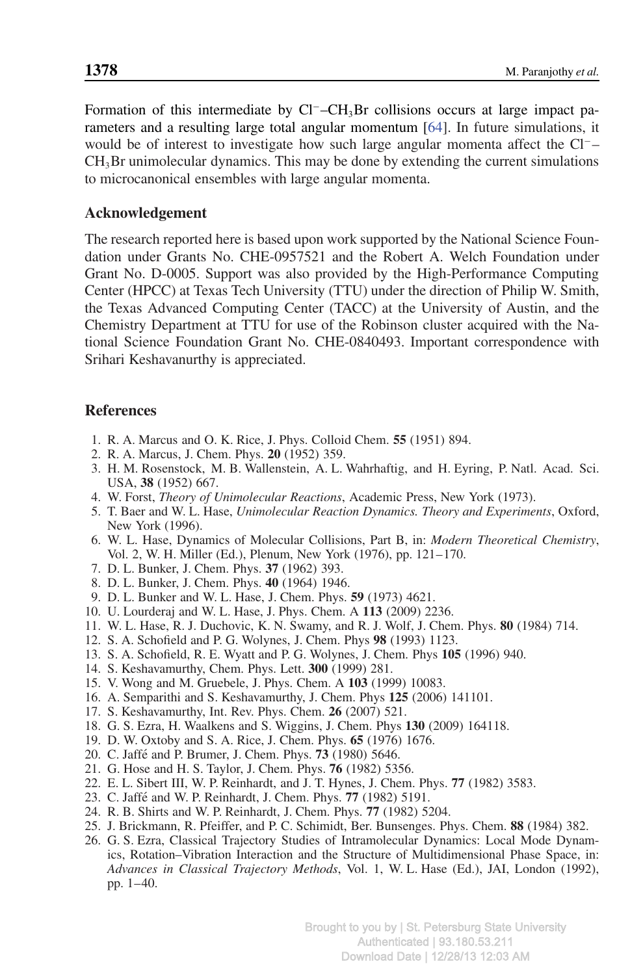Formation of this intermediate by Cl<sup>−</sup>–CH3Br collisions occurs at large impact parameters and a resulting large total angular momentum [64]. In future simulations, it would be of interest to investigate how such large angular momenta affect the Cl<sup>−</sup>–  $CH<sub>3</sub>Br$  unimolecular dynamics. This may be done by extending the current simulations to microcanonical ensembles with large angular momenta.

## **Acknowledgement**

The research reported here is based upon work supported by the National Science Foundation under Grants No. CHE-0957521 and the Robert A. Welch Foundation under Grant No. D-0005. Support was also provided by the High-Performance Computing Center (HPCC) at Texas Tech University (TTU) under the direction of Philip W. Smith, the Texas Advanced Computing Center (TACC) at the University of Austin, and the Chemistry Department at TTU for use of the Robinson cluster acquired with the National Science Foundation Grant No. CHE-0840493. Important correspondence with Srihari Keshavanurthy is appreciated.

# **References**

- 1. R. A. Marcus and O. K. Rice, J. Phys. Colloid Chem. **55** (1951) 894.
- 2. R. A. Marcus, J. Chem. Phys. **20** (1952) 359.
- 3. H. M. Rosenstock, M. B. Wallenstein, A. L. Wahrhaftig, and H. Eyring, P. Natl. Acad. Sci. USA, **38** (1952) 667.
- 4. W. Forst, *Theory of Unimolecular Reactions*, Academic Press, New York (1973).
- 5. T. Baer and W. L. Hase, *Unimolecular Reaction Dynamics. Theory and Experiments*, Oxford, New York (1996).
- 6. W. L. Hase, Dynamics of Molecular Collisions, Part B, in: *Modern Theoretical Chemistry*, Vol. 2, W. H. Miller (Ed.), Plenum, New York (1976), pp. 121–170.
- 7. D. L. Bunker, J. Chem. Phys. **37** (1962) 393.
- 8. D. L. Bunker, J. Chem. Phys. **40** (1964) 1946.
- 9. D. L. Bunker and W. L. Hase, J. Chem. Phys. **59** (1973) 4621.
- 10. U. Lourderaj and W. L. Hase, J. Phys. Chem. A **113** (2009) 2236.
- 11. W. L. Hase, R. J. Duchovic, K. N. Swamy, and R. J. Wolf, J. Chem. Phys. **80** (1984) 714.
- 12. S. A. Schofield and P. G. Wolynes, J. Chem. Phys **98** (1993) 1123.
- 13. S. A. Schofield, R. E. Wyatt and P. G. Wolynes, J. Chem. Phys **105** (1996) 940.
- 14. S. Keshavamurthy, Chem. Phys. Lett. **300** (1999) 281.
- 15. V. Wong and M. Gruebele, J. Phys. Chem. A **103** (1999) 10083.
- 16. A. Semparithi and S. Keshavamurthy, J. Chem. Phys **125** (2006) 141101.
- 17. S. Keshavamurthy, Int. Rev. Phys. Chem. **26** (2007) 521.
- 18. G. S. Ezra, H. Waalkens and S. Wiggins, J. Chem. Phys **130** (2009) 164118.
- 19. D. W. Oxtoby and S. A. Rice, J. Chem. Phys. **65** (1976) 1676.
- 20. C. Jaffé and P. Brumer, J. Chem. Phys. **73** (1980) 5646.
- 21. G. Hose and H. S. Taylor, J. Chem. Phys. **76** (1982) 5356.
- 22. E. L. Sibert III, W. P. Reinhardt, and J. T. Hynes, J. Chem. Phys. **77** (1982) 3583.
- 23. C. Jaffé and W. P. Reinhardt, J. Chem. Phys. 77 (1982) 5191.
- 24. R. B. Shirts and W. P. Reinhardt, J. Chem. Phys. **77** (1982) 5204.
- 25. J. Brickmann, R. Pfeiffer, and P. C. Schimidt, Ber. Bunsenges. Phys. Chem. **88** (1984) 382.
- 26. G. S. Ezra, Classical Trajectory Studies of Intramolecular Dynamics: Local Mode Dynamics, Rotation–Vibration Interaction and the Structure of Multidimensional Phase Space, in: *Advances in Classical Trajectory Methods*, Vol. 1, W. L. Hase (Ed.), JAI, London (1992), pp. 1–40.